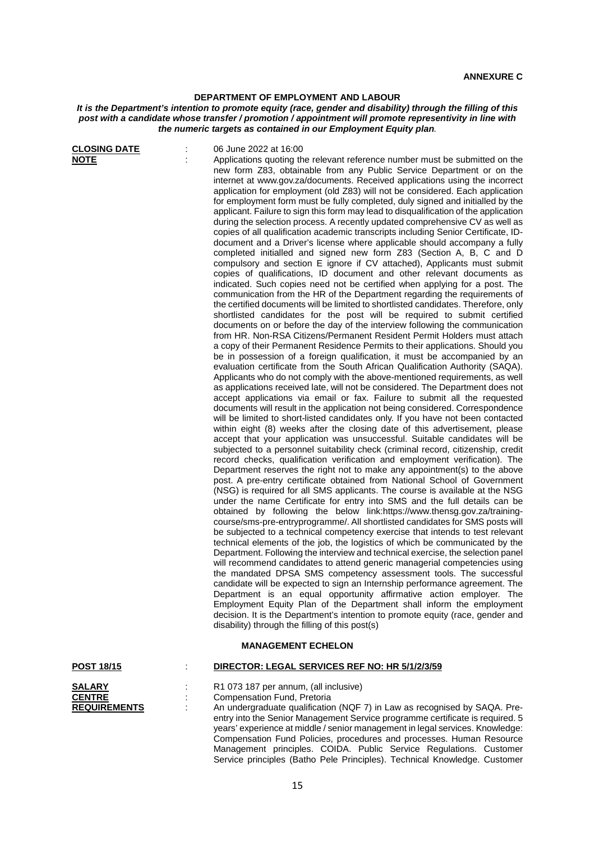## **DEPARTMENT OF EMPLOYMENT AND LABOUR**

## *It is the Department's intention to promote equity (race, gender and disability) through the filling of this post with a candidate whose transfer / promotion / appointment will promote representivity in line with the numeric targets as contained in our Employment Equity plan.*

| <b>CLOSING DATE</b><br><u>NOTE</u>                    | 06 June 2022 at 16:00<br>Applications quoting the relevant reference number must be submitted on the<br>new form Z83, obtainable from any Public Service Department or on the<br>internet at www.gov.za/documents. Received applications using the incorrect<br>application for employment (old Z83) will not be considered. Each application<br>for employment form must be fully completed, duly signed and initialled by the<br>applicant. Failure to sign this form may lead to disqualification of the application<br>during the selection process. A recently updated comprehensive CV as well as<br>copies of all qualification academic transcripts including Senior Certificate, ID-<br>document and a Driver's license where applicable should accompany a fully<br>completed initialled and signed new form Z83 (Section A, B, C and D<br>compulsory and section E ignore if CV attached), Applicants must submit<br>copies of qualifications, ID document and other relevant documents as<br>indicated. Such copies need not be certified when applying for a post. The<br>communication from the HR of the Department regarding the requirements of<br>the certified documents will be limited to shortlisted candidates. Therefore, only<br>shortlisted candidates for the post will be required to submit certified<br>documents on or before the day of the interview following the communication<br>from HR. Non-RSA Citizens/Permanent Resident Permit Holders must attach<br>a copy of their Permanent Residence Permits to their applications. Should you<br>be in possession of a foreign qualification, it must be accompanied by an<br>evaluation certificate from the South African Qualification Authority (SAQA).<br>Applicants who do not comply with the above-mentioned requirements, as well<br>as applications received late, will not be considered. The Department does not<br>accept applications via email or fax. Failure to submit all the requested<br>documents will result in the application not being considered. Correspondence<br>will be limited to short-listed candidates only. If you have not been contacted<br>within eight (8) weeks after the closing date of this advertisement, please<br>accept that your application was unsuccessful. Suitable candidates will be<br>subjected to a personnel suitability check (criminal record, citizenship, credit<br>record checks, qualification verification and employment verification). The<br>Department reserves the right not to make any appointment(s) to the above<br>post. A pre-entry certificate obtained from National School of Government<br>(NSG) is required for all SMS applicants. The course is available at the NSG<br>under the name Certificate for entry into SMS and the full details can be<br>obtained by following the below link:https://www.thensg.gov.za/training-<br>course/sms-pre-entryprogramme/. All shortlisted candidates for SMS posts will<br>be subjected to a technical competency exercise that intends to test relevant<br>technical elements of the job, the logistics of which be communicated by the<br>Department. Following the interview and technical exercise, the selection panel<br>will recommend candidates to attend generic managerial competencies using<br>the mandated DPSA SMS competency assessment tools. The successful<br>candidate will be expected to sign an Internship performance agreement. The<br>Department is an equal opportunity affirmative action employer. The<br>Employment Equity Plan of the Department shall inform the employment<br>decision. It is the Department's intention to promote equity (race, gender and<br>disability) through the filling of this post(s)<br><b>MANAGEMENT ECHELON</b> |
|-------------------------------------------------------|-----------------------------------------------------------------------------------------------------------------------------------------------------------------------------------------------------------------------------------------------------------------------------------------------------------------------------------------------------------------------------------------------------------------------------------------------------------------------------------------------------------------------------------------------------------------------------------------------------------------------------------------------------------------------------------------------------------------------------------------------------------------------------------------------------------------------------------------------------------------------------------------------------------------------------------------------------------------------------------------------------------------------------------------------------------------------------------------------------------------------------------------------------------------------------------------------------------------------------------------------------------------------------------------------------------------------------------------------------------------------------------------------------------------------------------------------------------------------------------------------------------------------------------------------------------------------------------------------------------------------------------------------------------------------------------------------------------------------------------------------------------------------------------------------------------------------------------------------------------------------------------------------------------------------------------------------------------------------------------------------------------------------------------------------------------------------------------------------------------------------------------------------------------------------------------------------------------------------------------------------------------------------------------------------------------------------------------------------------------------------------------------------------------------------------------------------------------------------------------------------------------------------------------------------------------------------------------------------------------------------------------------------------------------------------------------------------------------------------------------------------------------------------------------------------------------------------------------------------------------------------------------------------------------------------------------------------------------------------------------------------------------------------------------------------------------------------------------------------------------------------------------------------------------------------------------------------------------------------------------------------------------------------------------------------------------------------------------------------------------------------------------------------------------------------------------------------------------------------------------------------------------------------------------------------------------------------------------------------------------------------------------------------------------------------------------------------------------------------------------------------------------------------------------|
| <b>POST 18/15</b>                                     | DIRECTOR: LEGAL SERVICES REF NO: HR 5/1/2/3/59                                                                                                                                                                                                                                                                                                                                                                                                                                                                                                                                                                                                                                                                                                                                                                                                                                                                                                                                                                                                                                                                                                                                                                                                                                                                                                                                                                                                                                                                                                                                                                                                                                                                                                                                                                                                                                                                                                                                                                                                                                                                                                                                                                                                                                                                                                                                                                                                                                                                                                                                                                                                                                                                                                                                                                                                                                                                                                                                                                                                                                                                                                                                                                                                                                                                                                                                                                                                                                                                                                                                                                                                                                                                                                                                          |
|                                                       |                                                                                                                                                                                                                                                                                                                                                                                                                                                                                                                                                                                                                                                                                                                                                                                                                                                                                                                                                                                                                                                                                                                                                                                                                                                                                                                                                                                                                                                                                                                                                                                                                                                                                                                                                                                                                                                                                                                                                                                                                                                                                                                                                                                                                                                                                                                                                                                                                                                                                                                                                                                                                                                                                                                                                                                                                                                                                                                                                                                                                                                                                                                                                                                                                                                                                                                                                                                                                                                                                                                                                                                                                                                                                                                                                                                         |
| <b>SALARY</b><br><b>CENTRE</b><br><b>REQUIREMENTS</b> | R1 073 187 per annum, (all inclusive)<br>Compensation Fund, Pretoria<br>An undergraduate qualification (NQF 7) in Law as recognised by SAQA. Pre-<br>entry into the Senior Management Service programme certificate is required. 5<br>years' experience at middle / senior management in legal services. Knowledge:<br>Compensation Fund Policies, procedures and processes. Human Resource<br>Management principles. COIDA. Public Service Regulations. Customer                                                                                                                                                                                                                                                                                                                                                                                                                                                                                                                                                                                                                                                                                                                                                                                                                                                                                                                                                                                                                                                                                                                                                                                                                                                                                                                                                                                                                                                                                                                                                                                                                                                                                                                                                                                                                                                                                                                                                                                                                                                                                                                                                                                                                                                                                                                                                                                                                                                                                                                                                                                                                                                                                                                                                                                                                                                                                                                                                                                                                                                                                                                                                                                                                                                                                                                       |

Service principles (Batho Pele Principles). Technical Knowledge. Customer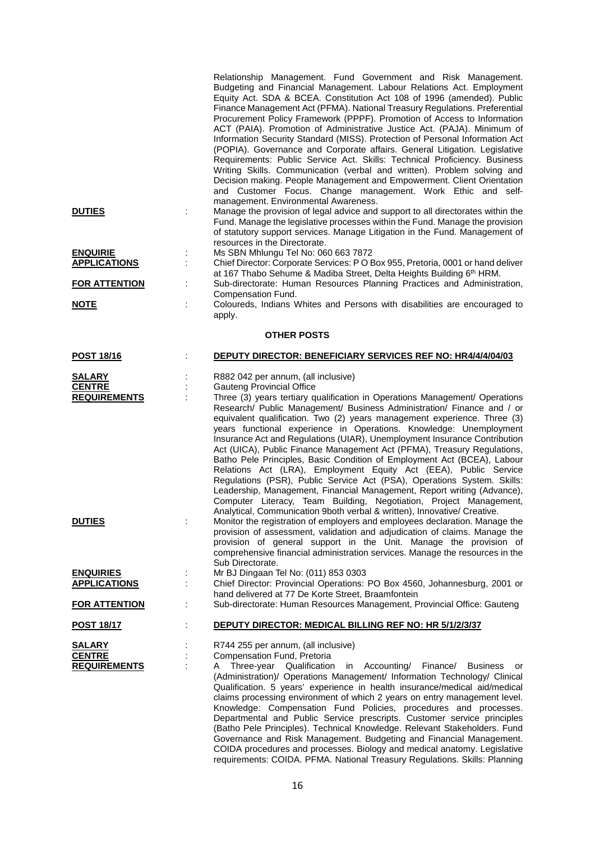|                                                       | Relationship Management. Fund Government and Risk Management.<br>Budgeting and Financial Management. Labour Relations Act. Employment<br>Equity Act. SDA & BCEA. Constitution Act 108 of 1996 (amended). Public<br>Finance Management Act (PFMA). National Treasury Regulations. Preferential<br>Procurement Policy Framework (PPPF). Promotion of Access to Information<br>ACT (PAIA). Promotion of Administrative Justice Act. (PAJA). Minimum of<br>Information Security Standard (MISS). Protection of Personal Information Act<br>(POPIA). Governance and Corporate affairs. General Litigation. Legislative<br>Requirements: Public Service Act. Skills: Technical Proficiency. Business<br>Writing Skills. Communication (verbal and written). Problem solving and<br>Decision making. People Management and Empowerment. Client Orientation<br>and Customer Focus. Change management. Work Ethic and self-                                                                                |  |  |
|-------------------------------------------------------|---------------------------------------------------------------------------------------------------------------------------------------------------------------------------------------------------------------------------------------------------------------------------------------------------------------------------------------------------------------------------------------------------------------------------------------------------------------------------------------------------------------------------------------------------------------------------------------------------------------------------------------------------------------------------------------------------------------------------------------------------------------------------------------------------------------------------------------------------------------------------------------------------------------------------------------------------------------------------------------------------|--|--|
| <b>DUTIES</b>                                         | management. Environmental Awareness.<br>Manage the provision of legal advice and support to all directorates within the<br>Fund. Manage the legislative processes within the Fund. Manage the provision<br>of statutory support services. Manage Litigation in the Fund. Management of<br>resources in the Directorate.                                                                                                                                                                                                                                                                                                                                                                                                                                                                                                                                                                                                                                                                           |  |  |
| <b>ENQUIRIE</b><br><b>APPLICATIONS</b>                | Ms SBN Mhlungu Tel No: 060 663 7872<br>t,<br>Chief Director: Corporate Services: PO Box 955, Pretoria, 0001 or hand deliver<br>at 167 Thabo Sehume & Madiba Street, Delta Heights Building 6th HRM.                                                                                                                                                                                                                                                                                                                                                                                                                                                                                                                                                                                                                                                                                                                                                                                               |  |  |
| <b>FOR ATTENTION</b><br><u>NOTE</u>                   | Sub-directorate: Human Resources Planning Practices and Administration,<br>÷<br>Compensation Fund.<br>t<br>Coloureds, Indians Whites and Persons with disabilities are encouraged to                                                                                                                                                                                                                                                                                                                                                                                                                                                                                                                                                                                                                                                                                                                                                                                                              |  |  |
|                                                       | apply.                                                                                                                                                                                                                                                                                                                                                                                                                                                                                                                                                                                                                                                                                                                                                                                                                                                                                                                                                                                            |  |  |
| <b>OTHER POSTS</b>                                    |                                                                                                                                                                                                                                                                                                                                                                                                                                                                                                                                                                                                                                                                                                                                                                                                                                                                                                                                                                                                   |  |  |
| <u>POST 18/16</u>                                     | <b>DEPUTY DIRECTOR: BENEFICIARY SERVICES REF NO: HR4/4/4/04/03</b>                                                                                                                                                                                                                                                                                                                                                                                                                                                                                                                                                                                                                                                                                                                                                                                                                                                                                                                                |  |  |
| <b>SALARY</b><br><b>CENTRE</b><br><b>REQUIREMENTS</b> | R882 042 per annum, (all inclusive)<br><b>Gauteng Provincial Office</b><br>Three (3) years tertiary qualification in Operations Management/ Operations<br>Research/ Public Management/ Business Administration/ Finance and / or<br>equivalent qualification. Two (2) years management experience. Three (3)<br>years functional experience in Operations. Knowledge: Unemployment<br>Insurance Act and Regulations (UIAR), Unemployment Insurance Contribution<br>Act (UICA), Public Finance Management Act (PFMA), Treasury Regulations,<br>Batho Pele Principles, Basic Condition of Employment Act (BCEA), Labour<br>Relations Act (LRA), Employment Equity Act (EEA), Public Service<br>Regulations (PSR), Public Service Act (PSA), Operations System. Skills:<br>Leadership, Management, Financial Management, Report writing (Advance),<br>Computer Literacy, Team Building, Negotiation, Project Management,<br>Analytical, Communication 9both verbal & written), Innovative/ Creative. |  |  |
| <b>DUTIES</b>                                         | Monitor the registration of employers and employees declaration. Manage the<br>provision of assessment, validation and adjudication of claims. Manage the<br>provision of general support in the Unit. Manage the provision of<br>comprehensive financial administration services. Manage the resources in the<br>Sub Directorate.                                                                                                                                                                                                                                                                                                                                                                                                                                                                                                                                                                                                                                                                |  |  |
| <b>ENQUIRIES</b><br><b>APPLICATIONS</b>               | Mr BJ Dingaan Tel No: (011) 853 0303<br>Chief Director: Provincial Operations: PO Box 4560, Johannesburg, 2001 or<br>hand delivered at 77 De Korte Street, Braamfontein                                                                                                                                                                                                                                                                                                                                                                                                                                                                                                                                                                                                                                                                                                                                                                                                                           |  |  |
| <b>FOR ATTENTION</b>                                  | Sub-directorate: Human Resources Management, Provincial Office: Gauteng                                                                                                                                                                                                                                                                                                                                                                                                                                                                                                                                                                                                                                                                                                                                                                                                                                                                                                                           |  |  |
| <u>POST 18/17</u>                                     | DEPUTY DIRECTOR: MEDICAL BILLING REF NO: HR 5/1/2/3/37                                                                                                                                                                                                                                                                                                                                                                                                                                                                                                                                                                                                                                                                                                                                                                                                                                                                                                                                            |  |  |
| <b>SALARY</b><br><b>CENTRE</b><br><b>REQUIREMENTS</b> | R744 255 per annum, (all inclusive)<br>Compensation Fund, Pretoria<br>Three-year Qualification<br>in Accounting/ Finance/<br><b>Business</b><br>A<br>or<br>(Administration)/ Operations Management/ Information Technology/ Clinical<br>Qualification. 5 years' experience in health insurance/medical aid/medical<br>claims processing environment of which 2 years on entry management level.<br>Knowledge: Compensation Fund Policies, procedures and processes.<br>Departmental and Public Service prescripts. Customer service principles<br>(Batho Pele Principles). Technical Knowledge. Relevant Stakeholders. Fund<br>Governance and Risk Management. Budgeting and Financial Management.<br>COIDA procedures and processes. Biology and medical anatomy. Legislative                                                                                                                                                                                                                    |  |  |

requirements: COIDA. PFMA. National Treasury Regulations. Skills: Planning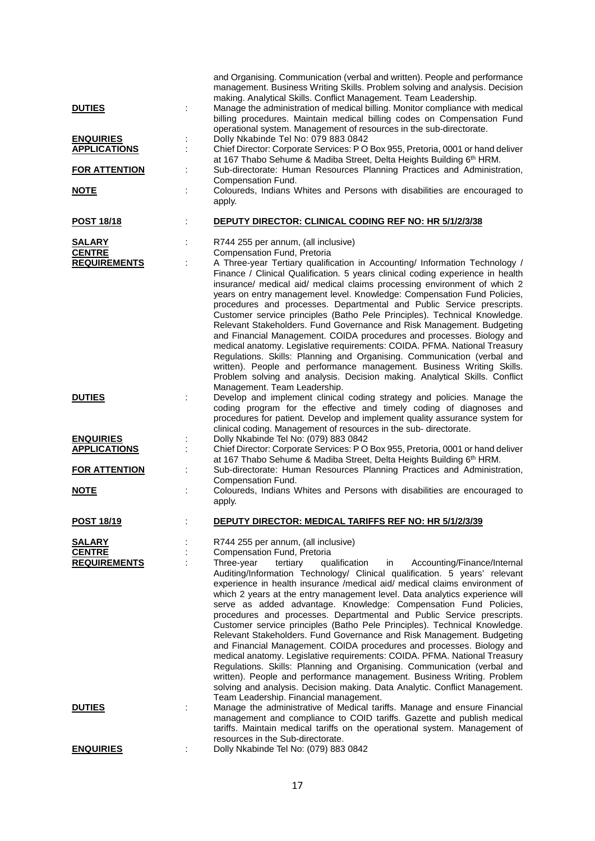|                                         |   | and Organising. Communication (verbal and written). People and performance<br>management. Business Writing Skills. Problem solving and analysis. Decision<br>making. Analytical Skills. Conflict Management. Team Leadership.                                                                                                                                                                                                                                                                                                                                                                                                                                                                                                                                                                                                                                                                                                                                                                                                                                 |
|-----------------------------------------|---|---------------------------------------------------------------------------------------------------------------------------------------------------------------------------------------------------------------------------------------------------------------------------------------------------------------------------------------------------------------------------------------------------------------------------------------------------------------------------------------------------------------------------------------------------------------------------------------------------------------------------------------------------------------------------------------------------------------------------------------------------------------------------------------------------------------------------------------------------------------------------------------------------------------------------------------------------------------------------------------------------------------------------------------------------------------|
| <b>DUTIES</b>                           |   | Manage the administration of medical billing. Monitor compliance with medical<br>billing procedures. Maintain medical billing codes on Compensation Fund<br>operational system. Management of resources in the sub-directorate.                                                                                                                                                                                                                                                                                                                                                                                                                                                                                                                                                                                                                                                                                                                                                                                                                               |
| <b>ENQUIRIES</b><br><b>APPLICATIONS</b> |   | Dolly Nkabinde Tel No: 079 883 0842<br>Chief Director: Corporate Services: P O Box 955, Pretoria, 0001 or hand deliver<br>at 167 Thabo Sehume & Madiba Street, Delta Heights Building 6th HRM.                                                                                                                                                                                                                                                                                                                                                                                                                                                                                                                                                                                                                                                                                                                                                                                                                                                                |
| <b>FOR ATTENTION</b>                    |   | Sub-directorate: Human Resources Planning Practices and Administration,<br>Compensation Fund.                                                                                                                                                                                                                                                                                                                                                                                                                                                                                                                                                                                                                                                                                                                                                                                                                                                                                                                                                                 |
| <u>NOTE</u>                             |   | Coloureds, Indians Whites and Persons with disabilities are encouraged to<br>apply.                                                                                                                                                                                                                                                                                                                                                                                                                                                                                                                                                                                                                                                                                                                                                                                                                                                                                                                                                                           |
| <u>POST 18/18</u>                       |   | <b>DEPUTY DIRECTOR: CLINICAL CODING REF NO: HR 5/1/2/3/38</b>                                                                                                                                                                                                                                                                                                                                                                                                                                                                                                                                                                                                                                                                                                                                                                                                                                                                                                                                                                                                 |
| <b>SALARY</b><br><b>CENTRE</b>          |   | R744 255 per annum, (all inclusive)<br>Compensation Fund, Pretoria                                                                                                                                                                                                                                                                                                                                                                                                                                                                                                                                                                                                                                                                                                                                                                                                                                                                                                                                                                                            |
| <b>REQUIREMENTS</b>                     |   | A Three-year Tertiary qualification in Accounting/ Information Technology /<br>Finance / Clinical Qualification. 5 years clinical coding experience in health<br>insurance/ medical aid/ medical claims processing environment of which 2<br>years on entry management level. Knowledge: Compensation Fund Policies,<br>procedures and processes. Departmental and Public Service prescripts.<br>Customer service principles (Batho Pele Principles). Technical Knowledge.<br>Relevant Stakeholders. Fund Governance and Risk Management. Budgeting<br>and Financial Management. COIDA procedures and processes. Biology and<br>medical anatomy. Legislative requirements: COIDA. PFMA. National Treasury<br>Regulations. Skills: Planning and Organising. Communication (verbal and<br>written). People and performance management. Business Writing Skills.<br>Problem solving and analysis. Decision making. Analytical Skills. Conflict<br>Management. Team Leadership.                                                                                   |
| <b>DUTIES</b>                           |   | Develop and implement clinical coding strategy and policies. Manage the<br>coding program for the effective and timely coding of diagnoses and<br>procedures for patient. Develop and implement quality assurance system for<br>clinical coding. Management of resources in the sub-directorate.                                                                                                                                                                                                                                                                                                                                                                                                                                                                                                                                                                                                                                                                                                                                                              |
| <b>ENQUIRIES</b><br><b>APPLICATIONS</b> |   | Dolly Nkabinde Tel No: (079) 883 0842<br>Chief Director: Corporate Services: P O Box 955, Pretoria, 0001 or hand deliver<br>at 167 Thabo Sehume & Madiba Street, Delta Heights Building 6th HRM.                                                                                                                                                                                                                                                                                                                                                                                                                                                                                                                                                                                                                                                                                                                                                                                                                                                              |
| <b>FOR ATTENTION</b>                    | ÷ | Sub-directorate: Human Resources Planning Practices and Administration,<br>Compensation Fund.                                                                                                                                                                                                                                                                                                                                                                                                                                                                                                                                                                                                                                                                                                                                                                                                                                                                                                                                                                 |
| <u>NOTE</u>                             |   | Coloureds, Indians Whites and Persons with disabilities are encouraged to<br>apply.                                                                                                                                                                                                                                                                                                                                                                                                                                                                                                                                                                                                                                                                                                                                                                                                                                                                                                                                                                           |
| <u>POST 18/19</u>                       |   | <u> DEPUTY DIRECTOR: MEDICAL TARIFFS REF NO: HR 5/1/2/3/39</u>                                                                                                                                                                                                                                                                                                                                                                                                                                                                                                                                                                                                                                                                                                                                                                                                                                                                                                                                                                                                |
| <b>SALARY</b><br><b>CENTRE</b>          |   | R744 255 per annum, (all inclusive)<br>Compensation Fund, Pretoria                                                                                                                                                                                                                                                                                                                                                                                                                                                                                                                                                                                                                                                                                                                                                                                                                                                                                                                                                                                            |
| <b>REQUIREMENTS</b>                     |   | qualification<br>Three-year<br>tertiary<br>in<br>Accounting/Finance/Internal<br>Auditing/Information Technology/ Clinical qualification. 5 years' relevant<br>experience in health insurance /medical aid/ medical claims environment of<br>which 2 years at the entry management level. Data analytics experience will<br>serve as added advantage. Knowledge: Compensation Fund Policies,<br>procedures and processes. Departmental and Public Service prescripts.<br>Customer service principles (Batho Pele Principles). Technical Knowledge.<br>Relevant Stakeholders. Fund Governance and Risk Management. Budgeting<br>and Financial Management. COIDA procedures and processes. Biology and<br>medical anatomy. Legislative requirements: COIDA. PFMA. National Treasury<br>Regulations. Skills: Planning and Organising. Communication (verbal and<br>written). People and performance management. Business Writing. Problem<br>solving and analysis. Decision making. Data Analytic. Conflict Management.<br>Team Leadership. Financial management. |
| <b>DUTIES</b>                           |   | Manage the administrative of Medical tariffs. Manage and ensure Financial<br>management and compliance to COID tariffs. Gazette and publish medical<br>tariffs. Maintain medical tariffs on the operational system. Management of<br>resources in the Sub-directorate.                                                                                                                                                                                                                                                                                                                                                                                                                                                                                                                                                                                                                                                                                                                                                                                        |
| <b>ENQUIRIES</b>                        |   | Dolly Nkabinde Tel No: (079) 883 0842                                                                                                                                                                                                                                                                                                                                                                                                                                                                                                                                                                                                                                                                                                                                                                                                                                                                                                                                                                                                                         |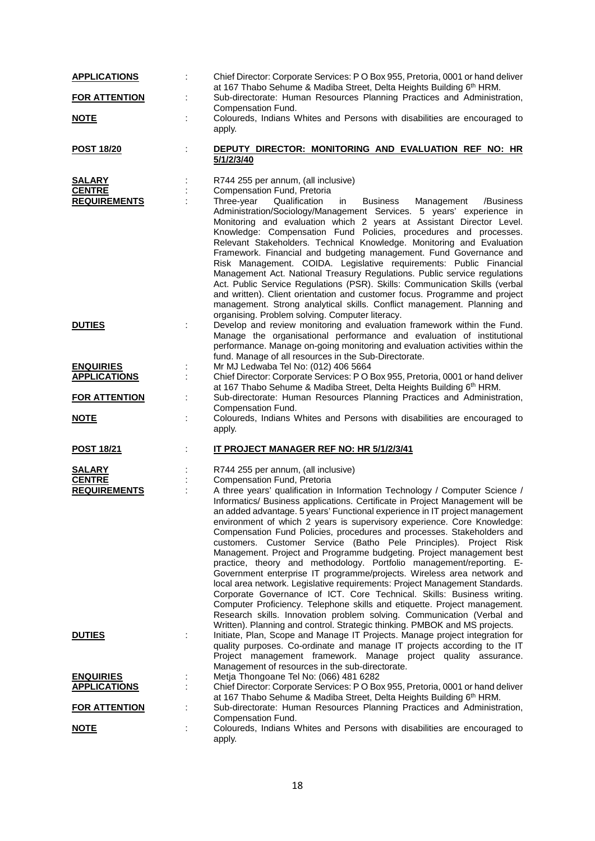| <b>APPLICATIONS</b>                                   | Chief Director: Corporate Services: P O Box 955, Pretoria, 0001 or hand deliver                                                                                                                                                                                                                                                                                                                                                                                                                                                                                                                                                                                                                                                                                                                                                                                                                                                                                                                                                                                                       |
|-------------------------------------------------------|---------------------------------------------------------------------------------------------------------------------------------------------------------------------------------------------------------------------------------------------------------------------------------------------------------------------------------------------------------------------------------------------------------------------------------------------------------------------------------------------------------------------------------------------------------------------------------------------------------------------------------------------------------------------------------------------------------------------------------------------------------------------------------------------------------------------------------------------------------------------------------------------------------------------------------------------------------------------------------------------------------------------------------------------------------------------------------------|
| <b>FOR ATTENTION</b>                                  | at 167 Thabo Sehume & Madiba Street, Delta Heights Building 6th HRM.<br>Sub-directorate: Human Resources Planning Practices and Administration,<br>Compensation Fund.                                                                                                                                                                                                                                                                                                                                                                                                                                                                                                                                                                                                                                                                                                                                                                                                                                                                                                                 |
| <u>NOTE</u>                                           | Coloureds, Indians Whites and Persons with disabilities are encouraged to<br>apply.                                                                                                                                                                                                                                                                                                                                                                                                                                                                                                                                                                                                                                                                                                                                                                                                                                                                                                                                                                                                   |
| <b>POST 18/20</b>                                     | DEPUTY DIRECTOR: MONITORING AND EVALUATION REF NO: HR<br>5/1/2/3/40                                                                                                                                                                                                                                                                                                                                                                                                                                                                                                                                                                                                                                                                                                                                                                                                                                                                                                                                                                                                                   |
| <b>SALARY</b><br><b>CENTRE</b><br><b>REQUIREMENTS</b> | R744 255 per annum, (all inclusive)<br>Compensation Fund, Pretoria<br>Three-year<br>Qualification<br><b>Business</b><br>in<br>Management<br>/Business<br>Administration/Sociology/Management Services. 5 years' experience in<br>Monitoring and evaluation which 2 years at Assistant Director Level.<br>Knowledge: Compensation Fund Policies, procedures and processes.<br>Relevant Stakeholders. Technical Knowledge. Monitoring and Evaluation<br>Framework. Financial and budgeting management. Fund Governance and<br>Risk Management. COIDA. Legislative requirements: Public Financial<br>Management Act. National Treasury Regulations. Public service regulations<br>Act. Public Service Regulations (PSR). Skills: Communication Skills (verbal<br>and written). Client orientation and customer focus. Programme and project<br>management. Strong analytical skills. Conflict management. Planning and                                                                                                                                                                   |
| <b>DUTIES</b>                                         | organising. Problem solving. Computer literacy.<br>Develop and review monitoring and evaluation framework within the Fund.<br>Manage the organisational performance and evaluation of institutional<br>performance. Manage on-going monitoring and evaluation activities within the<br>fund. Manage of all resources in the Sub-Directorate.                                                                                                                                                                                                                                                                                                                                                                                                                                                                                                                                                                                                                                                                                                                                          |
| <b>ENQUIRIES</b><br><b>APPLICATIONS</b>               | Mr MJ Ledwaba Tel No: (012) 406 5664<br>Chief Director: Corporate Services: P O Box 955, Pretoria, 0001 or hand deliver<br>at 167 Thabo Sehume & Madiba Street, Delta Heights Building 6th HRM.                                                                                                                                                                                                                                                                                                                                                                                                                                                                                                                                                                                                                                                                                                                                                                                                                                                                                       |
| <b>FOR ATTENTION</b>                                  | Sub-directorate: Human Resources Planning Practices and Administration,<br>÷<br>Compensation Fund.                                                                                                                                                                                                                                                                                                                                                                                                                                                                                                                                                                                                                                                                                                                                                                                                                                                                                                                                                                                    |
| <u>NOTE</u>                                           | Coloureds, Indians Whites and Persons with disabilities are encouraged to<br>apply.                                                                                                                                                                                                                                                                                                                                                                                                                                                                                                                                                                                                                                                                                                                                                                                                                                                                                                                                                                                                   |
| <b>POST 18/21</b>                                     | IT PROJECT MANAGER REF NO: HR 5/1/2/3/41                                                                                                                                                                                                                                                                                                                                                                                                                                                                                                                                                                                                                                                                                                                                                                                                                                                                                                                                                                                                                                              |
| <b>SALARY</b><br><b>CENTRE</b><br><b>REQUIREMENTS</b> | R744 255 per annum, (all inclusive)<br>Compensation Fund, Pretoria<br>A three years' qualification in Information Technology / Computer Science /<br>Informatics/ Business applications. Certificate in Project Management will be<br>an added advantage. 5 years' Functional experience in IT project management<br>environment of which 2 years is supervisory experience. Core Knowledge:<br>Compensation Fund Policies, procedures and processes. Stakeholders and<br>customers. Customer Service (Batho Pele Principles). Project Risk<br>Management. Project and Programme budgeting. Project management best<br>practice, theory and methodology. Portfolio management/reporting. E-<br>Government enterprise IT programme/projects. Wireless area network and<br>local area network. Legislative requirements: Project Management Standards.<br>Corporate Governance of ICT. Core Technical. Skills: Business writing.<br>Computer Proficiency. Telephone skills and etiquette. Project management.<br>Research skills. Innovation problem solving. Communication (Verbal and |
| <u>DUTIES</u>                                         | Written). Planning and control. Strategic thinking. PMBOK and MS projects.<br>Initiate, Plan, Scope and Manage IT Projects. Manage project integration for<br>quality purposes. Co-ordinate and manage IT projects according to the IT<br>Project management framework. Manage project quality assurance.<br>Management of resources in the sub-directorate.                                                                                                                                                                                                                                                                                                                                                                                                                                                                                                                                                                                                                                                                                                                          |
|                                                       |                                                                                                                                                                                                                                                                                                                                                                                                                                                                                                                                                                                                                                                                                                                                                                                                                                                                                                                                                                                                                                                                                       |
| <b>ENQUIRIES</b><br><b>APPLICATIONS</b>               | Metja Thongoane Tel No: (066) 481 6282<br>÷,<br>Chief Director: Corporate Services: P O Box 955, Pretoria, 0001 or hand deliver                                                                                                                                                                                                                                                                                                                                                                                                                                                                                                                                                                                                                                                                                                                                                                                                                                                                                                                                                       |
| <b>FOR ATTENTION</b>                                  | at 167 Thabo Sehume & Madiba Street, Delta Heights Building 6th HRM.<br>Sub-directorate: Human Resources Planning Practices and Administration,<br>Compensation Fund.                                                                                                                                                                                                                                                                                                                                                                                                                                                                                                                                                                                                                                                                                                                                                                                                                                                                                                                 |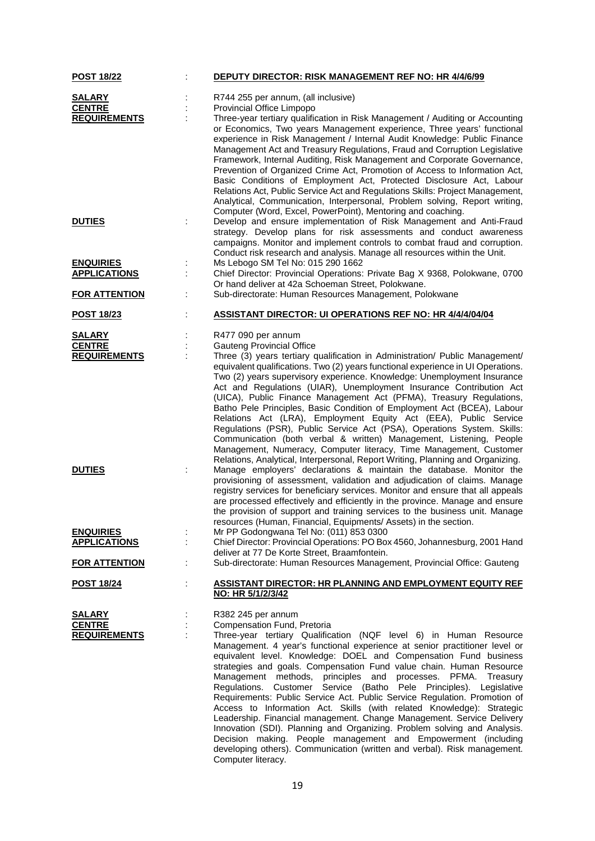| <b>POST 18/22</b>                              |   | <b>DEPUTY DIRECTOR: RISK MANAGEMENT REF NO: HR 4/4/6/99</b>                                                                                                                                                                                                                                                                                                                                                                                                                                                                                                                                                                                                                                                                                                                                                                                                                                                                                                               |
|------------------------------------------------|---|---------------------------------------------------------------------------------------------------------------------------------------------------------------------------------------------------------------------------------------------------------------------------------------------------------------------------------------------------------------------------------------------------------------------------------------------------------------------------------------------------------------------------------------------------------------------------------------------------------------------------------------------------------------------------------------------------------------------------------------------------------------------------------------------------------------------------------------------------------------------------------------------------------------------------------------------------------------------------|
| <b>SALARY</b>                                  |   | R744 255 per annum, (all inclusive)                                                                                                                                                                                                                                                                                                                                                                                                                                                                                                                                                                                                                                                                                                                                                                                                                                                                                                                                       |
| <b>CENTRE</b>                                  |   | Provincial Office Limpopo                                                                                                                                                                                                                                                                                                                                                                                                                                                                                                                                                                                                                                                                                                                                                                                                                                                                                                                                                 |
| <b>REQUIREMENTS</b>                            |   | Three-year tertiary qualification in Risk Management / Auditing or Accounting<br>or Economics, Two years Management experience, Three years' functional<br>experience in Risk Management / Internal Audit Knowledge: Public Finance<br>Management Act and Treasury Regulations, Fraud and Corruption Legislative<br>Framework, Internal Auditing, Risk Management and Corporate Governance,<br>Prevention of Organized Crime Act, Promotion of Access to Information Act,<br>Basic Conditions of Employment Act, Protected Disclosure Act, Labour<br>Relations Act, Public Service Act and Regulations Skills: Project Management,<br>Analytical, Communication, Interpersonal, Problem solving, Report writing,<br>Computer (Word, Excel, PowerPoint), Mentoring and coaching.                                                                                                                                                                                           |
| <b>DUTIES</b>                                  |   | Develop and ensure implementation of Risk Management and Anti-Fraud<br>strategy. Develop plans for risk assessments and conduct awareness<br>campaigns. Monitor and implement controls to combat fraud and corruption.<br>Conduct risk research and analysis. Manage all resources within the Unit.                                                                                                                                                                                                                                                                                                                                                                                                                                                                                                                                                                                                                                                                       |
| <b>ENQUIRIES</b><br><b>APPLICATIONS</b>        | ÷ | Ms Lebogo SM Tel No: 015 290 1662<br>Chief Director: Provincial Operations: Private Bag X 9368, Polokwane, 0700<br>Or hand deliver at 42a Schoeman Street, Polokwane.                                                                                                                                                                                                                                                                                                                                                                                                                                                                                                                                                                                                                                                                                                                                                                                                     |
| <b>FOR ATTENTION</b>                           |   | Sub-directorate: Human Resources Management, Polokwane                                                                                                                                                                                                                                                                                                                                                                                                                                                                                                                                                                                                                                                                                                                                                                                                                                                                                                                    |
| <b>POST 18/23</b>                              |   | <b>ASSISTANT DIRECTOR: UI OPERATIONS REF NO: HR 4/4/4/04/04</b>                                                                                                                                                                                                                                                                                                                                                                                                                                                                                                                                                                                                                                                                                                                                                                                                                                                                                                           |
| <b>SALARY</b>                                  |   | R477 090 per annum                                                                                                                                                                                                                                                                                                                                                                                                                                                                                                                                                                                                                                                                                                                                                                                                                                                                                                                                                        |
| <b>CENTRE</b>                                  |   | <b>Gauteng Provincial Office</b>                                                                                                                                                                                                                                                                                                                                                                                                                                                                                                                                                                                                                                                                                                                                                                                                                                                                                                                                          |
| <b>REQUIREMENTS</b>                            |   | Three (3) years tertiary qualification in Administration/ Public Management/<br>equivalent qualifications. Two (2) years functional experience in UI Operations.<br>Two (2) years supervisory experience. Knowledge: Unemployment Insurance<br>Act and Regulations (UIAR), Unemployment Insurance Contribution Act<br>(UICA), Public Finance Management Act (PFMA), Treasury Regulations,<br>Batho Pele Principles, Basic Condition of Employment Act (BCEA), Labour<br>Relations Act (LRA), Employment Equity Act (EEA), Public Service<br>Regulations (PSR), Public Service Act (PSA), Operations System. Skills:<br>Communication (both verbal & written) Management, Listening, People<br>Management, Numeracy, Computer literacy, Time Management, Customer<br>Relations, Analytical, Interpersonal, Report Writing, Planning and Organizing.                                                                                                                        |
| <b>DUTIES</b>                                  |   | Manage employers' declarations & maintain the database. Monitor the<br>provisioning of assessment, validation and adjudication of claims. Manage<br>registry services for beneficiary services. Monitor and ensure that all appeals<br>are processed effectively and efficiently in the province. Manage and ensure<br>the provision of support and training services to the business unit. Manage<br>resources (Human, Financial, Equipments/ Assets) in the section.                                                                                                                                                                                                                                                                                                                                                                                                                                                                                                    |
| <b>ENQUIRIES</b>                               |   | Mr PP Godongwana Tel No: (011) 853 0300                                                                                                                                                                                                                                                                                                                                                                                                                                                                                                                                                                                                                                                                                                                                                                                                                                                                                                                                   |
| <b>APPLICATIONS</b>                            |   | Chief Director: Provincial Operations: PO Box 4560, Johannesburg, 2001 Hand<br>deliver at 77 De Korte Street, Braamfontein.                                                                                                                                                                                                                                                                                                                                                                                                                                                                                                                                                                                                                                                                                                                                                                                                                                               |
| <b>FOR ATTENTION</b>                           |   | Sub-directorate: Human Resources Management, Provincial Office: Gauteng                                                                                                                                                                                                                                                                                                                                                                                                                                                                                                                                                                                                                                                                                                                                                                                                                                                                                                   |
| <b>POST 18/24</b>                              |   | <b>ASSISTANT DIRECTOR: HR PLANNING AND EMPLOYMENT EQUITY REF</b><br>NO: HR 5/1/2/3/42                                                                                                                                                                                                                                                                                                                                                                                                                                                                                                                                                                                                                                                                                                                                                                                                                                                                                     |
| SALARY<br><b>CENTRE</b><br><b>REQUIREMENTS</b> |   | R382 245 per annum<br>Compensation Fund, Pretoria<br>Three-year tertiary Qualification (NQF level 6) in Human Resource<br>Management. 4 year's functional experience at senior practitioner level or<br>equivalent level. Knowledge: DOEL and Compensation Fund business<br>strategies and goals. Compensation Fund value chain. Human Resource<br>Management methods, principles and processes.<br>PFMA.<br>Treasury<br>Regulations. Customer Service (Batho Pele Principles). Legislative<br>Requirements: Public Service Act. Public Service Regulation. Promotion of<br>Access to Information Act. Skills (with related Knowledge): Strategic<br>Leadership. Financial management. Change Management. Service Delivery<br>Innovation (SDI). Planning and Organizing. Problem solving and Analysis.<br>Decision making. People management and Empowerment (including<br>developing others). Communication (written and verbal). Risk management.<br>Computer literacy. |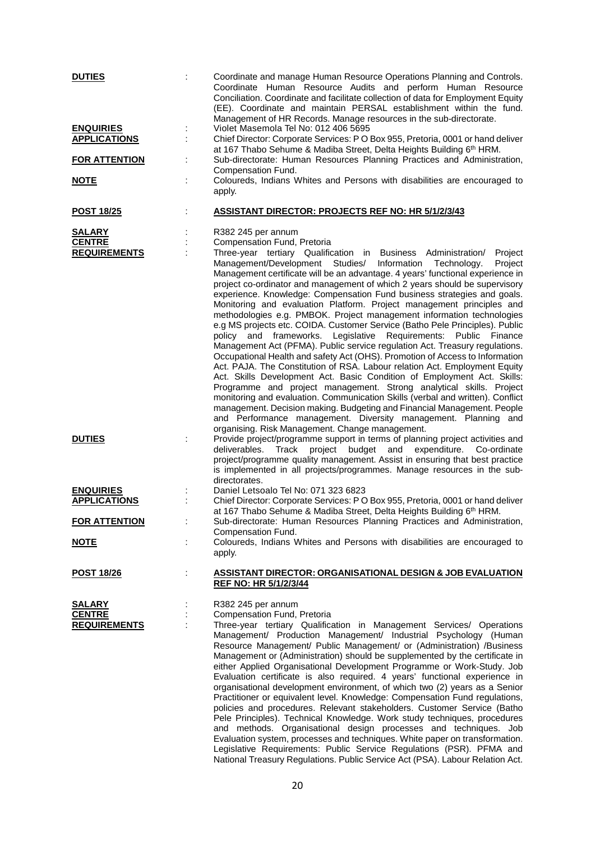| <b>DUTIES</b>                                         |        | Coordinate and manage Human Resource Operations Planning and Controls.<br>Coordinate Human Resource Audits and perform Human Resource<br>Conciliation. Coordinate and facilitate collection of data for Employment Equity<br>(EE). Coordinate and maintain PERSAL establishment within the fund.<br>Management of HR Records. Manage resources in the sub-directorate.                                                                                                                                                                                                                                                                                                                                                                                                                                                                                                                                                                                                                                                                                                                                                                                                                                                                                                                                                                                                               |
|-------------------------------------------------------|--------|--------------------------------------------------------------------------------------------------------------------------------------------------------------------------------------------------------------------------------------------------------------------------------------------------------------------------------------------------------------------------------------------------------------------------------------------------------------------------------------------------------------------------------------------------------------------------------------------------------------------------------------------------------------------------------------------------------------------------------------------------------------------------------------------------------------------------------------------------------------------------------------------------------------------------------------------------------------------------------------------------------------------------------------------------------------------------------------------------------------------------------------------------------------------------------------------------------------------------------------------------------------------------------------------------------------------------------------------------------------------------------------|
| <b>ENQUIRIES</b><br><b>APPLICATIONS</b>               | ÷      | Violet Masemola Tel No: 012 406 5695<br>Chief Director: Corporate Services: P O Box 955, Pretoria, 0001 or hand deliver                                                                                                                                                                                                                                                                                                                                                                                                                                                                                                                                                                                                                                                                                                                                                                                                                                                                                                                                                                                                                                                                                                                                                                                                                                                              |
| <b>FOR ATTENTION</b>                                  |        | at 167 Thabo Sehume & Madiba Street, Delta Heights Building 6th HRM.<br>Sub-directorate: Human Resources Planning Practices and Administration,                                                                                                                                                                                                                                                                                                                                                                                                                                                                                                                                                                                                                                                                                                                                                                                                                                                                                                                                                                                                                                                                                                                                                                                                                                      |
| <b>NOTE</b>                                           |        | Compensation Fund.<br>Coloureds, Indians Whites and Persons with disabilities are encouraged to<br>apply.                                                                                                                                                                                                                                                                                                                                                                                                                                                                                                                                                                                                                                                                                                                                                                                                                                                                                                                                                                                                                                                                                                                                                                                                                                                                            |
| <b>POST 18/25</b>                                     |        | <b>ASSISTANT DIRECTOR: PROJECTS REF NO: HR 5/1/2/3/43</b>                                                                                                                                                                                                                                                                                                                                                                                                                                                                                                                                                                                                                                                                                                                                                                                                                                                                                                                                                                                                                                                                                                                                                                                                                                                                                                                            |
| <b>SALARY</b><br><b>CENTRE</b><br><b>REQUIREMENTS</b> |        | R382 245 per annum<br>Compensation Fund, Pretoria<br>Three-year tertiary Qualification in Business Administration/<br>Project<br>Management/Development Studies/ Information<br>Technology.<br>Project<br>Management certificate will be an advantage. 4 years' functional experience in<br>project co-ordinator and management of which 2 years should be supervisory<br>experience. Knowledge: Compensation Fund business strategies and goals.<br>Monitoring and evaluation Platform. Project management principles and<br>methodologies e.g. PMBOK. Project management information technologies<br>e.g MS projects etc. COIDA. Customer Service (Batho Pele Principles). Public<br>policy and frameworks. Legislative Requirements: Public Finance<br>Management Act (PFMA). Public service regulation Act. Treasury regulations.<br>Occupational Health and safety Act (OHS). Promotion of Access to Information<br>Act. PAJA. The Constitution of RSA. Labour relation Act. Employment Equity<br>Act. Skills Development Act. Basic Condition of Employment Act. Skills:<br>Programme and project management. Strong analytical skills. Project<br>monitoring and evaluation. Communication Skills (verbal and written). Conflict<br>management. Decision making. Budgeting and Financial Management. People<br>and Performance management. Diversity management. Planning and |
| <b>DUTIES</b>                                         |        | organising. Risk Management. Change management.<br>Provide project/programme support in terms of planning project activities and<br>deliverables.<br>Track<br>project<br>budget and expenditure.<br>Co-ordinate<br>project/programme quality management. Assist in ensuring that best practice<br>is implemented in all projects/programmes. Manage resources in the sub-<br>directorates.                                                                                                                                                                                                                                                                                                                                                                                                                                                                                                                                                                                                                                                                                                                                                                                                                                                                                                                                                                                           |
| <b>ENQUIRIES</b><br><b>APPLICATIONS</b>               | ÷      | Daniel Letsoalo Tel No: 071 323 6823<br>Chief Director: Corporate Services: P O Box 955, Pretoria, 0001 or hand deliver                                                                                                                                                                                                                                                                                                                                                                                                                                                                                                                                                                                                                                                                                                                                                                                                                                                                                                                                                                                                                                                                                                                                                                                                                                                              |
| <b>FOR ATTENTION</b>                                  |        | at 167 Thabo Sehume & Madiba Street, Delta Heights Building 6th HRM.<br>Sub-directorate: Human Resources Planning Practices and Administration,<br>Compensation Fund.                                                                                                                                                                                                                                                                                                                                                                                                                                                                                                                                                                                                                                                                                                                                                                                                                                                                                                                                                                                                                                                                                                                                                                                                                |
| <u>NOTE</u>                                           |        | Coloureds, Indians Whites and Persons with disabilities are encouraged to<br>apply.                                                                                                                                                                                                                                                                                                                                                                                                                                                                                                                                                                                                                                                                                                                                                                                                                                                                                                                                                                                                                                                                                                                                                                                                                                                                                                  |
| <u>POST 18/26</u>                                     |        | <b>ASSISTANT DIRECTOR: ORGANISATIONAL DESIGN &amp; JOB EVALUATION</b><br>REF NO: HR 5/1/2/3/44                                                                                                                                                                                                                                                                                                                                                                                                                                                                                                                                                                                                                                                                                                                                                                                                                                                                                                                                                                                                                                                                                                                                                                                                                                                                                       |
| <b>SALARY</b><br><b>CENTRE</b><br><b>REQUIREMENTS</b> | ÷<br>÷ | R382 245 per annum<br>Compensation Fund, Pretoria<br>Three-year tertiary Qualification in Management Services/ Operations<br>Management/ Production Management/ Industrial Psychology (Human<br>Resource Management/ Public Management/ or (Administration) /Business<br>Management or (Administration) should be supplemented by the certificate in<br>either Applied Organisational Development Programme or Work-Study. Job<br>Evaluation certificate is also required. 4 years' functional experience in<br>organisational development environment, of which two (2) years as a Senior<br>Practitioner or equivalent level. Knowledge: Compensation Fund regulations,<br>policies and procedures. Relevant stakeholders. Customer Service (Batho<br>Pele Principles). Technical Knowledge. Work study techniques, procedures<br>and methods. Organisational design processes and techniques. Job<br>Evaluation system, processes and techniques. White paper on transformation.<br>Legislative Requirements: Public Service Regulations (PSR). PFMA and                                                                                                                                                                                                                                                                                                                          |

National Treasury Regulations. Public Service Act (PSA). Labour Relation Act.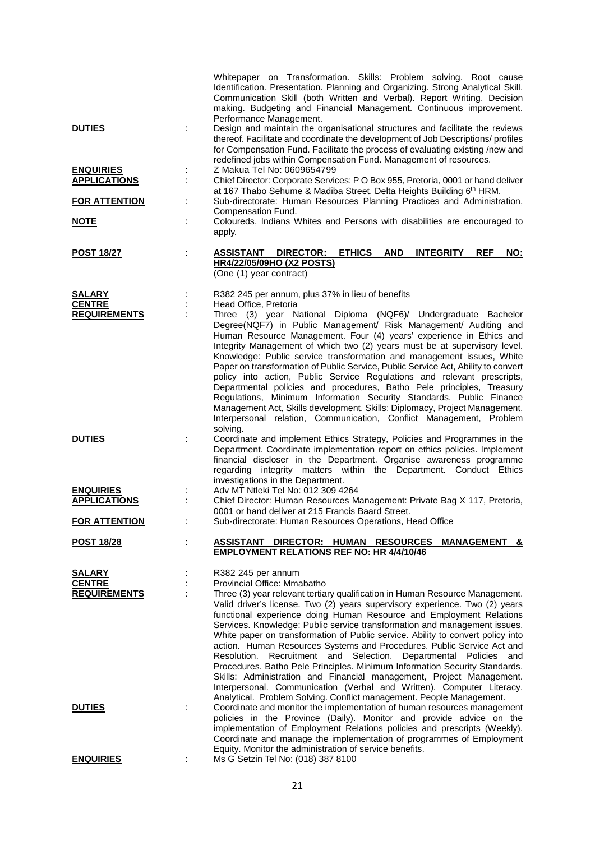|                                                       | Whitepaper on Transformation. Skills: Problem solving. Root cause<br>Identification. Presentation. Planning and Organizing. Strong Analytical Skill.<br>Communication Skill (both Written and Verbal). Report Writing. Decision<br>making. Budgeting and Financial Management. Continuous improvement.                                                                                                                                                                                                                                                                                                                                                                                                                                                                                                                                           |
|-------------------------------------------------------|--------------------------------------------------------------------------------------------------------------------------------------------------------------------------------------------------------------------------------------------------------------------------------------------------------------------------------------------------------------------------------------------------------------------------------------------------------------------------------------------------------------------------------------------------------------------------------------------------------------------------------------------------------------------------------------------------------------------------------------------------------------------------------------------------------------------------------------------------|
| <b>DUTIES</b>                                         | Performance Management.<br>Design and maintain the organisational structures and facilitate the reviews<br>thereof. Facilitate and coordinate the development of Job Descriptions/ profiles<br>for Compensation Fund. Facilitate the process of evaluating existing /new and<br>redefined jobs within Compensation Fund. Management of resources.                                                                                                                                                                                                                                                                                                                                                                                                                                                                                                |
| <b>ENQUIRIES</b><br><b>APPLICATIONS</b>               | Z Makua Tel No: 0609654799<br>÷<br>÷,<br>Chief Director: Corporate Services: P O Box 955, Pretoria, 0001 or hand deliver                                                                                                                                                                                                                                                                                                                                                                                                                                                                                                                                                                                                                                                                                                                         |
| <b>FOR ATTENTION</b>                                  | at 167 Thabo Sehume & Madiba Street, Delta Heights Building 6th HRM.<br>Sub-directorate: Human Resources Planning Practices and Administration,<br>t,                                                                                                                                                                                                                                                                                                                                                                                                                                                                                                                                                                                                                                                                                            |
| <u>NOTE</u>                                           | Compensation Fund.<br>Coloureds, Indians Whites and Persons with disabilities are encouraged to                                                                                                                                                                                                                                                                                                                                                                                                                                                                                                                                                                                                                                                                                                                                                  |
|                                                       | apply.                                                                                                                                                                                                                                                                                                                                                                                                                                                                                                                                                                                                                                                                                                                                                                                                                                           |
| <b>POST 18/27</b>                                     | <b>ASSISTANT</b><br><b>DIRECTOR:</b><br>ETHICS AND<br><b>INTEGRITY</b><br><b>REF</b><br>NO:<br><b>HR4/22/05/09HO (X2 POSTS)</b><br>(One (1) year contract)                                                                                                                                                                                                                                                                                                                                                                                                                                                                                                                                                                                                                                                                                       |
| <b>SALARY</b><br><b>CENTRE</b>                        | R382 245 per annum, plus 37% in lieu of benefits<br>Head Office, Pretoria                                                                                                                                                                                                                                                                                                                                                                                                                                                                                                                                                                                                                                                                                                                                                                        |
| <b>REQUIREMENTS</b>                                   | Three (3) year National Diploma (NQF6)/ Undergraduate Bachelor<br>Degree(NQF7) in Public Management/ Risk Management/ Auditing and<br>Human Resource Management. Four (4) years' experience in Ethics and<br>Integrity Management of which two (2) years must be at supervisory level.<br>Knowledge: Public service transformation and management issues, White<br>Paper on transformation of Public Service, Public Service Act, Ability to convert<br>policy into action, Public Service Regulations and relevant prescripts,<br>Departmental policies and procedures, Batho Pele principles, Treasury<br>Regulations, Minimum Information Security Standards, Public Finance<br>Management Act, Skills development. Skills: Diplomacy, Project Management,<br>Interpersonal relation, Communication, Conflict Management, Problem<br>solving. |
| <b>DUTIES</b>                                         | Coordinate and implement Ethics Strategy, Policies and Programmes in the<br>Department. Coordinate implementation report on ethics policies. Implement<br>financial discloser in the Department. Organise awareness programme<br>regarding integrity matters within the Department. Conduct Ethics<br>investigations in the Department.                                                                                                                                                                                                                                                                                                                                                                                                                                                                                                          |
| <b>ENQUIRIES</b><br><b>APPLICATIONS</b>               | Adv MT Ntleki Tel No: 012 309 4264<br>Chief Director: Human Resources Management: Private Bag X 117, Pretoria,                                                                                                                                                                                                                                                                                                                                                                                                                                                                                                                                                                                                                                                                                                                                   |
| <b>FOR ATTENTION</b>                                  | 0001 or hand deliver at 215 Francis Baard Street.<br>Sub-directorate: Human Resources Operations, Head Office                                                                                                                                                                                                                                                                                                                                                                                                                                                                                                                                                                                                                                                                                                                                    |
| <b>POST 18/28</b>                                     | ASSISTANT DIRECTOR: HUMAN RESOURCES MANAGEMENT<br>8.                                                                                                                                                                                                                                                                                                                                                                                                                                                                                                                                                                                                                                                                                                                                                                                             |
|                                                       | <b>EMPLOYMENT RELATIONS REF NO: HR 4/4/10/46</b>                                                                                                                                                                                                                                                                                                                                                                                                                                                                                                                                                                                                                                                                                                                                                                                                 |
| <b>SALARY</b><br><b>CENTRE</b><br><b>REQUIREMENTS</b> | R382 245 per annum<br>Provincial Office: Mmabatho<br>Three (3) year relevant tertiary qualification in Human Resource Management.<br>Valid driver's license. Two (2) years supervisory experience. Two (2) years<br>functional experience doing Human Resource and Employment Relations<br>Services. Knowledge: Public service transformation and management issues.<br>White paper on transformation of Public service. Ability to convert policy into<br>action. Human Resources Systems and Procedures. Public Service Act and<br>Recruitment and Selection.<br>Departmental Policies<br>Resolution.<br>and<br>Procedures. Batho Pele Principles. Minimum Information Security Standards.<br>Skills: Administration and Financial management, Project Management.<br>Interpersonal. Communication (Verbal and Written). Computer Literacy.    |
| <b>DUTIES</b>                                         | Analytical. Problem Solving. Conflict management. People Management.<br>Coordinate and monitor the implementation of human resources management<br>÷<br>policies in the Province (Daily). Monitor and provide advice on the<br>implementation of Employment Relations policies and prescripts (Weekly).<br>Coordinate and manage the implementation of programmes of Employment<br>Equity. Monitor the administration of service benefits.                                                                                                                                                                                                                                                                                                                                                                                                       |
| <b>ENQUIRIES</b>                                      | Ms G Setzin Tel No: (018) 387 8100                                                                                                                                                                                                                                                                                                                                                                                                                                                                                                                                                                                                                                                                                                                                                                                                               |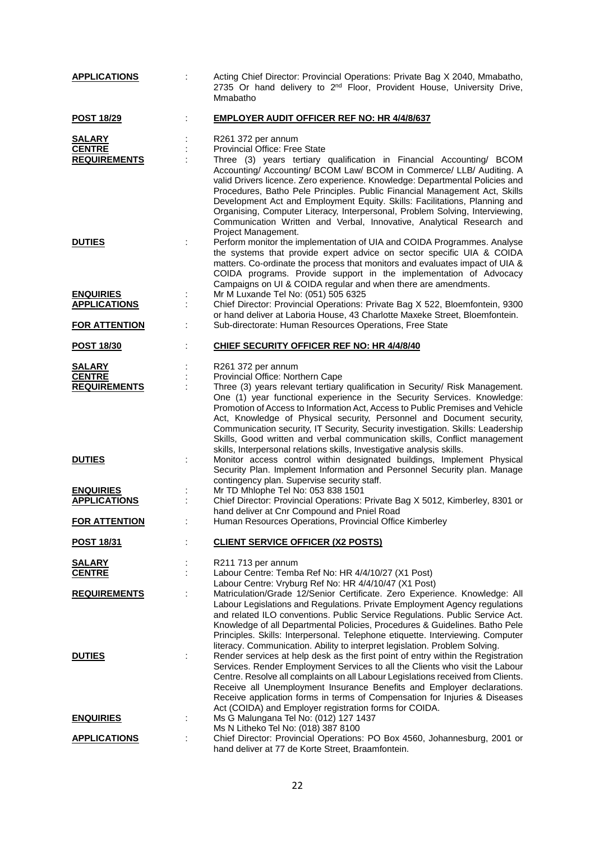| <b>APPLICATIONS</b>                                   |    | Acting Chief Director: Provincial Operations: Private Bag X 2040, Mmabatho,<br>2735 Or hand delivery to 2 <sup>nd</sup> Floor, Provident House, University Drive,<br>Mmabatho                                                                                                                                                                                                                                                                                                                                                                                                                            |
|-------------------------------------------------------|----|----------------------------------------------------------------------------------------------------------------------------------------------------------------------------------------------------------------------------------------------------------------------------------------------------------------------------------------------------------------------------------------------------------------------------------------------------------------------------------------------------------------------------------------------------------------------------------------------------------|
| <b>POST 18/29</b>                                     |    | <b>EMPLOYER AUDIT OFFICER REF NO: HR 4/4/8/637</b>                                                                                                                                                                                                                                                                                                                                                                                                                                                                                                                                                       |
| <b>SALARY</b><br><b>CENTRE</b><br><b>REQUIREMENTS</b> |    | R261 372 per annum<br>Provincial Office: Free State<br>Three (3) years tertiary qualification in Financial Accounting/ BCOM<br>Accounting/ Accounting/ BCOM Law/ BCOM in Commerce/ LLB/ Auditing. A<br>valid Drivers licence. Zero experience. Knowledge: Departmental Policies and<br>Procedures, Batho Pele Principles. Public Financial Management Act, Skills<br>Development Act and Employment Equity. Skills: Facilitations, Planning and<br>Organising, Computer Literacy, Interpersonal, Problem Solving, Interviewing,<br>Communication Written and Verbal, Innovative, Analytical Research and |
| <b>DUTIES</b>                                         |    | Project Management.<br>Perform monitor the implementation of UIA and COIDA Programmes. Analyse<br>the systems that provide expert advice on sector specific UIA & COIDA<br>matters. Co-ordinate the process that monitors and evaluates impact of UIA &<br>COIDA programs. Provide support in the implementation of Advocacy<br>Campaigns on UI & COIDA regular and when there are amendments.                                                                                                                                                                                                           |
| <b>ENQUIRIES</b><br><b>APPLICATIONS</b>               |    | Mr M Luxande Tel No: (051) 505 6325<br>Chief Director: Provincial Operations: Private Bag X 522, Bloemfontein, 9300<br>or hand deliver at Laboria House, 43 Charlotte Maxeke Street, Bloemfontein.                                                                                                                                                                                                                                                                                                                                                                                                       |
| <b>FOR ATTENTION</b>                                  |    | Sub-directorate: Human Resources Operations, Free State                                                                                                                                                                                                                                                                                                                                                                                                                                                                                                                                                  |
| <b>POST 18/30</b>                                     |    | CHIEF SECURITY OFFICER REF NO: HR 4/4/8/40                                                                                                                                                                                                                                                                                                                                                                                                                                                                                                                                                               |
| <b>SALARY</b><br><b>CENTRE</b><br><b>REQUIREMENTS</b> |    | R261 372 per annum<br>Provincial Office: Northern Cape<br>Three (3) years relevant tertiary qualification in Security/ Risk Management.<br>One (1) year functional experience in the Security Services. Knowledge:<br>Promotion of Access to Information Act, Access to Public Premises and Vehicle<br>Act, Knowledge of Physical security, Personnel and Document security,<br>Communication security, IT Security, Security investigation. Skills: Leadership<br>Skills, Good written and verbal communication skills, Conflict management                                                             |
| <b>DUTIES</b><br><b>ENQUIRIES</b>                     |    | skills, Interpersonal relations skills, Investigative analysis skills.<br>Monitor access control within designated buildings, Implement Physical<br>Security Plan. Implement Information and Personnel Security plan. Manage<br>contingency plan. Supervise security staff.<br>Mr TD Mhlophe Tel No: 053 838 1501                                                                                                                                                                                                                                                                                        |
| <b>APPLICATIONS</b>                                   |    | Chief Director: Provincial Operations: Private Bag X 5012, Kimberley, 8301 or<br>hand deliver at Cnr Compound and Pniel Road                                                                                                                                                                                                                                                                                                                                                                                                                                                                             |
| <b>FOR ATTENTION</b>                                  |    | Human Resources Operations, Provincial Office Kimberley                                                                                                                                                                                                                                                                                                                                                                                                                                                                                                                                                  |
| <b>POST 18/31</b>                                     |    | <b>CLIENT SERVICE OFFICER (X2 POSTS)</b>                                                                                                                                                                                                                                                                                                                                                                                                                                                                                                                                                                 |
| <u>SALARY</u><br><b>CENTRE</b>                        | t. | R211 713 per annum<br>Labour Centre: Temba Ref No: HR 4/4/10/27 (X1 Post)<br>Labour Centre: Vryburg Ref No: HR 4/4/10/47 (X1 Post)                                                                                                                                                                                                                                                                                                                                                                                                                                                                       |
| <b>REQUIREMENTS</b>                                   |    | Matriculation/Grade 12/Senior Certificate. Zero Experience. Knowledge: All<br>Labour Legislations and Regulations. Private Employment Agency regulations<br>and related ILO conventions. Public Service Regulations. Public Service Act.<br>Knowledge of all Departmental Policies, Procedures & Guidelines. Batho Pele<br>Principles. Skills: Interpersonal. Telephone etiquette. Interviewing. Computer<br>literacy. Communication. Ability to interpret legislation. Problem Solving.                                                                                                                 |
| <b>DUTIES</b>                                         | ÷  | Render services at help desk as the first point of entry within the Registration<br>Services. Render Employment Services to all the Clients who visit the Labour<br>Centre. Resolve all complaints on all Labour Legislations received from Clients.<br>Receive all Unemployment Insurance Benefits and Employer declarations.<br>Receive application forms in terms of Compensation for Injuries & Diseases<br>Act (COIDA) and Employer registration forms for COIDA.                                                                                                                                   |
| <b>ENQUIRIES</b>                                      |    | Ms G Malungana Tel No: (012) 127 1437<br>Ms N Litheko Tel No: (018) 387 8100                                                                                                                                                                                                                                                                                                                                                                                                                                                                                                                             |
| <b>APPLICATIONS</b>                                   | ÷  | Chief Director: Provincial Operations: PO Box 4560, Johannesburg, 2001 or<br>hand deliver at 77 de Korte Street, Braamfontein.                                                                                                                                                                                                                                                                                                                                                                                                                                                                           |